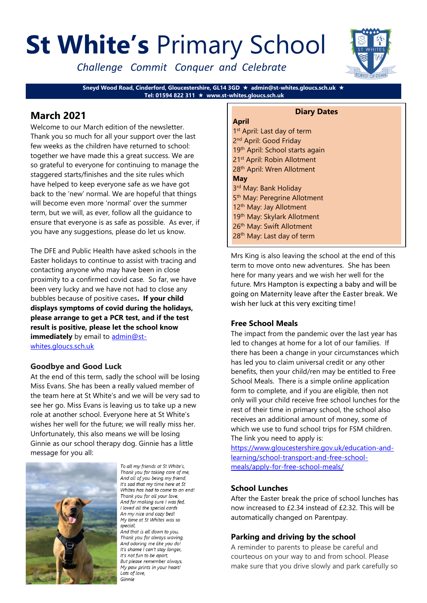# **St White's** Primary School

*Challenge Commit Conquer and Celebrate*

**Sneyd Wood Road, Cinderford, Gloucestershire, GL14 3GD admin@st-whites.gloucs.sch.uk Tel: 01594 822 311 www.st-whites.gloucs.sch.uk**

# **March 2021**

Welcome to our March edition of the newsletter. Thank you so much for all your support over the last few weeks as the children have returned to school: together we have made this a great success. We are so grateful to everyone for continuing to manage the staggered starts/finishes and the site rules which have helped to keep everyone safe as we have got back to the 'new' normal. We are hopeful that things will become even more 'normal' over the summer term, but we will, as ever, follow all the guidance to ensure that everyone is as safe as possible. As ever, if you have any suggestions, please do let us know.

The DFE and Public Health have asked schools in the Easter holidays to continue to assist with tracing and contacting anyone who may have been in close proximity to a confirmed covid case. So far, we have been very lucky and we have not had to close any bubbles because of positive cases**. If your child displays symptoms of covid during the holidays, please arrange to get a PCR test, and if the test result is positive, please let the school know immediately** by email to **admin@st**[whites.gloucs.sch.uk](mailto:admin@st-whites.gloucs.sch.uk) 

## **Goodbye and Good Luck**

At the end of this term, sadly the school will be losing Miss Evans. She has been a really valued member of the team here at St White's and we will be very sad to see her go. Miss Evans is leaving us to take up a new role at another school. Everyone here at St White's wishes her well for the future; we will really miss her. Unfortunately, this also means we will be losing Ginnie as our school therapy dog. Ginnie has a little message for you all:



To all my friends at St White's, Thank you for taking care of me, And all of you being my friend, It's sad that my time here at St Whites has had to come to an end! Thank you for all your love, And for making sure I was fed, I loved all the special cards An my nice and cozy bed! My time at St Whites was so special. And that is all down to you

Thank you for always waving, And adoring me like you do! It's shame I can't stay longer, It's not fun to be apart. But please remember always, My paw prints in your heart! Lots of love. Ginnie

## **April**

#### **Diary Dates**

1<sup>st</sup> April: Last day of term 2<sup>nd</sup> April: Good Friday 19<sup>th</sup> April: School starts again 21st April: Robin Allotment 28th April: Wren Allotment **May** 3<sup>rd</sup> May: Bank Holiday 5<sup>th</sup> May: Peregrine Allotment 12<sup>th</sup> May: Jay Allotment 19th May: Skylark Allotment 26<sup>th</sup> May: Swift Allotment 28<sup>th</sup> May: Last day of term

Mrs King is also leaving the school at the end of this term to move onto new adventures. She has been here for many years and we wish her well for the future. Mrs Hampton is expecting a baby and will be going on Maternity leave after the Easter break. We wish her luck at this very exciting time!

## **Free School Meals**

The impact from the pandemic over the last year has led to changes at home for a lot of our families. If there has been a change in your circumstances which has led you to claim universal credit or any other benefits, then your child/ren may be entitled to Free School Meals. There is a simple online application form to complete, and if you are eligible, then not only will your child receive free school lunches for the rest of their time in primary school, the school also receives an additional amount of money, some of which we use to fund school trips for FSM children. The link you need to apply is:

[https://www.gloucestershire.gov.uk/education-and](https://www.gloucestershire.gov.uk/education-and-learning/school-transport-and-free-school-meals/apply-for-free-school-meals/)[learning/school-transport-and-free-school](https://www.gloucestershire.gov.uk/education-and-learning/school-transport-and-free-school-meals/apply-for-free-school-meals/)[meals/apply-for-free-school-meals/](https://www.gloucestershire.gov.uk/education-and-learning/school-transport-and-free-school-meals/apply-for-free-school-meals/)

## **School Lunches**

After the Easter break the price of school lunches has now increased to £2.34 instead of £2.32. This will be automatically changed on Parentpay.

## **Parking and driving by the school**

A reminder to parents to please be careful and courteous on your way to and from school. Please make sure that you drive slowly and park carefully so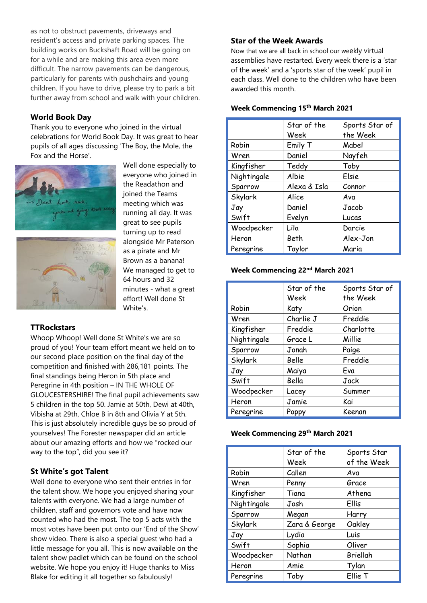as not to obstruct pavements, driveways and resident's access and private parking spaces. The building works on Buckshaft Road will be going on for a while and are making this area even more difficult. The narrow pavements can be dangerous, particularly for parents with pushchairs and young children. If you have to drive, please try to park a bit further away from school and walk with your children.

#### **World Book Day**

Thank you to everyone who joined in the virtual celebrations for World Book Day. It was great to hear pupils of all ages discussing 'The Boy, the Mole, the Fox and the Horse'.

> Well done especially to everyone who joined in the Readathon and joined the Teams meeting which was running all day. It was great to see pupils turning up to read alongside Mr Paterson as a pirate and Mr Brown as a banana! We managed to get to 64 hours and 32

minutes - what a great effort! Well done St

White's.





## **TTRockstars**

Whoop Whoop! Well done St White's we are so proud of you! Your team effort meant we held on to our second place position on the final day of the competition and finished with 286,181 points. The final standings being Heron in 5th place and Peregrine in 4th position – IN THE WHOLE OF GLOUCESTERSHIRE! The final pupil achievements saw 5 children in the top 50. Jamie at 50th, Dewi at 40th, Vibisha at 29th, Chloe B in 8th and Olivia Y at 5th. This is just absolutely incredible guys be so proud of yourselves! The Forester newspaper did an article about our amazing efforts and how we "rocked our way to the top", did you see it?

## **St White's got Talent**

Well done to everyone who sent their entries in for the talent show. We hope you enjoyed sharing your talents with everyone. We had a large number of children, staff and governors vote and have now counted who had the most. The top 5 acts with the most votes have been put onto our 'End of the Show' show video. There is also a special guest who had a little message for you all. This is now available on the talent show padlet which can be found on the school website. We hope you enjoy it! Huge thanks to Miss Blake for editing it all together so fabulously!

#### **Star of the Week Awards**

Now that we are all back in school our weekly virtual assemblies have restarted. Every week there is a 'star of the week' and a 'sports star of the week' pupil in each class. Well done to the children who have been awarded this month.

#### **Week Commencing 15th March 2021**

|             | Star of the<br>Week | Sports Star of<br>the Week |
|-------------|---------------------|----------------------------|
| Robin       | Emily T             | Mabel                      |
| Wren        | Daniel              | Nayfeh                     |
| Kingfisher  | Teddy               | Toby                       |
| Nightingale | Albie               | Elsie                      |
| Sparrow     | Alexa & Isla        | Connor                     |
| Skylark     | Alice               | Ava                        |
| Jay         | Daniel              | Jacob                      |
| Swift       | Evelyn              | Lucas                      |
| Woodpecker  | Lila                | Darcie                     |
| Heron       | Beth                | Alex-Jon                   |
| Peregrine   | Taylor              | Maria                      |

#### **Week Commencing 22nd March 2021**

|             | Star of the<br>Week | Sports Star of<br>the Week |
|-------------|---------------------|----------------------------|
| Robin       | Katy                | Orion                      |
| Wren        | Charlie J           | Freddie                    |
| Kingfisher  | Freddie             | Charlotte                  |
| Nightingale | Grace L             | Millie                     |
| Sparrow     | Jonah               | Paige                      |
| Skylark     | Belle               | Freddie                    |
| Jay         | Maiya               | Eva                        |
| Swift       | Bella               | Jack                       |
| Woodpecker  | Lacey               | Summer                     |
| Heron       | Jamie               | Kai                        |
| Peregrine   | Poppy               | Keenan                     |

#### **Week Commencing 29th March 2021**

|             | Star of the<br>Week | Sports Star<br>of the Week |
|-------------|---------------------|----------------------------|
| Robin       | Callen              | Ava                        |
| Wren        | Penny               | Grace                      |
| Kingfisher  | Tiana               | Athena                     |
| Nightingale | Josh                | Ellis                      |
| Sparrow     | Megan               | Harry                      |
| Skylark     | Zara & George       | Oakley                     |
| Jay         | Lydia               | Luis                       |
| Swift       | Sophia              | Oliver                     |
| Woodpecker  | Nathan              | Briellah                   |
| Heron       | Amie                | Tylan                      |
| Peregrine   | Toby                | Ellie T                    |